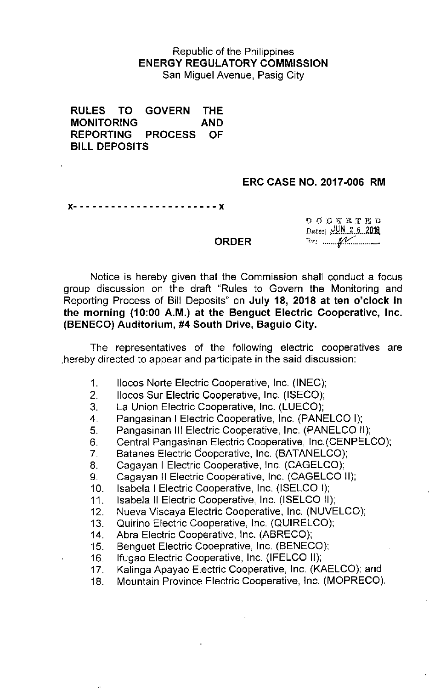## Republic of the Philippines ENERGY REGULATORY COMMISSION San Miguel Avenue, Pasig City

RULES TO GOVERN THE MONITORING AND REPORTING PROCESS OF BILL DEPOSITS

## ERC CASE NO. 2017-006 RM

x- - - - - - - - - - - - - - - - - - • - - - - x

 $00$  *D G* K H T H D Dete: **UN 2 6 2018** P,~~.\_\_..\_.~\_.\_ .....~

 $\sum_{i=1}^{n}$ 

#### ORDER

Notice is hereby given that the Commission shall conduct a focus group discussion on the draft "Rules to Govern the Monitoring and Reporting Process of Bill Deposits" on July 18, 2018 at ten o'clock in the morning (10:00 A.M.) at the Benguet Electric Cooperative, Inc. (BENECO) Auditorium, #4 South Drive, Baguio City.

The representatives of the following electric cooperatives are .hereby directed to appear and participate in the said discussion:

- 1. Ilocos Norte Electric Cooperative, Inc. (INEC);
- 2. Ilocos Sur Electric Cooperative, Inc. (ISECO);
- 3. La Union Electric Cooperative, Inc. (LUECO);
- 4. Pangasinan I Electric Cooperative, Inc. (PANELCO I);
- 5. Pangasinan III Electric Cooperative, Inc. (PANELCO II);
- 6 Central Pangasinan Electric Cooperative, Inc.(CENPELCO);
- 7. Batanes Electric Cooperative, Inc. (BATANELCO);
- 8. Cagayan I Electric Cooperative, Inc. (CAGELCO);
- 9. Cagayan II Electric Cooperative, Inc. (CAGELCO II);
- 10. Isabela I Electric Cooperative, Inc. (ISELCO I);
- 11. Isabela II Electric Cooperative, Inc. (ISELCO II);
- 12. Nueva Viscaya Electric Cooperative, Inc. (NUVELCO);
- 13. Quirino Electric Cooperative, Inc. (QUIRELCO);
- 14. Abra Electric Cooperative, Inc. (ABRECO);
- 15. Benguet Electric Cooeprative, Inc. (BENECO);
- 16. Ifugao Electric Cooperative, Inc (IFELCO II);
- 17. Kalinga Apayao Electric Cooperative, Inc. (KAELCO); and
- 18. Mountain Province Electric Cooperative, Inc. (MOPRECO).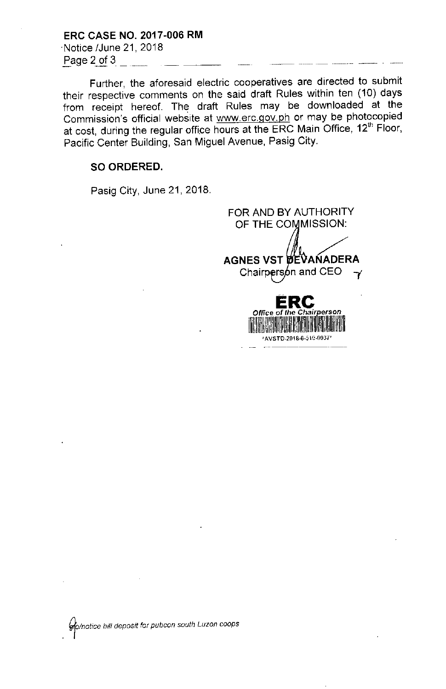ERC CASE NO. 2017.006 RM .Notice IJune 21, 2018 Page 2 of 3

Further, the aforesaid electric cooperatives are directed to submit their respective comments on the said draft Rules within ten (10) days from receipt hereof. The draft Rules may be downloaded at the Commission's official website at [www.erc.gov.ph](http://www.erc.gov.ph) or may be photocopied at cost, during the regular office hours at the ERC Main Office, 12<sup>th</sup> Floor, Pacific Center Building, San Miguel Avenue, Pasig City.

### SO ORDERED.

Pasig City, June 21, 2018.

FOR AND BY AUTHORITY OF THE COMMISSION: AGNES VST DEVANADERA Chairpers on and CEO  $\rightarrow$ **ERe** *Office* **of** *the Chair~erson* 1~li,'lII!lllllllIlillilll!,!II:,~!lillll~:!I~I~i~lilll~II

AVSTD-2018-6-510-0037

*. 'fa/notice bill deposit for pubcon south Luzon coops*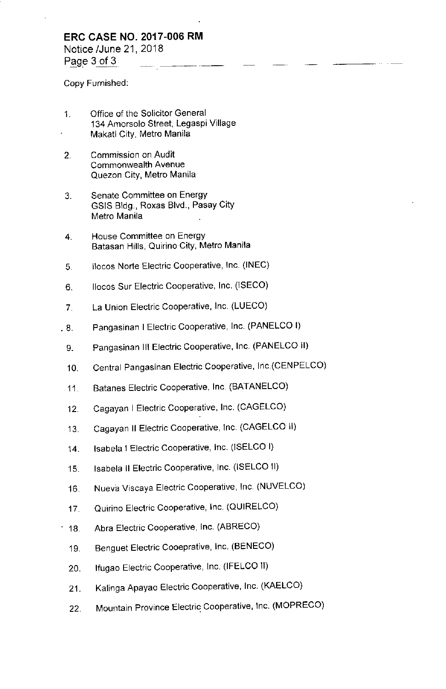## **ERC CASE NO. 2017.006 RM**

Notice IJune 21, 2018 Page  $3$  of  $3$ 

Copy Furnished:

- 1. Office of the Solicitor General 134 Amorsolo Street, Legaspi Village Makati City, Metro Manila
- 2. Commission on Audit **Commonwealth Avenue** Quezon City, Metro Manila
- 3. Senate Committee on Energy GSIS Bldg., Roxas Blvd., Pasay City Metro Manila
- **4. House Committee on Energy** Batasan Hills, Quirino City, Metro Manila
- 5. Ilocos Norte Electric Cooperative, Inc. (INEC)
- 6. 1I0cos Sur Electric Cooperative, Inc. (ISECO)
- 7. La Union Electric Cooperative, Inc. (LUECO)
- . 8. Pangasinan I Electric Cooperative, Inc. (PANELCO I)
- 9. Pangasinan III Electric Cooperative, Inc. (PANELCO II)
- 10. Central Pangasinan Electric Cooperative, Inc.(CENPELCO)
- 11. Batanes Electric Cooperative, Inc. (BATANELCO)
- 12. Cagayan I Electric Cooperative, Inc. (CAGELCO)
- 13. Cagayan II Electric Cooperative, Inc. (CAGELCO II)
- 14. Isabela I Electric Cooperative, Inc. (ISELCO I)
- 15. Isabela II Electric Cooperative, Inc. (ISELCO II)
- 16. Nueva Viscaya Electric Cooperative, Inc. (NUVELCO)
- 17. Quirino Electric Cooperative, Inc. (QUIRELCO)
- 18. Abra Electric Cooperative, Inc. (ABRECO)
- 19. Benguet Electric Cooeprative, Inc. (BENECO)
- 20. Ifugao Electric Cooperative, Inc. (IFELCO II)
- 21. Kalinga Apayao Electric Cooperative, Inc. (KAELCO)
- 22. Mountain Province Electric Cooperative, Inc. (MOPRECO)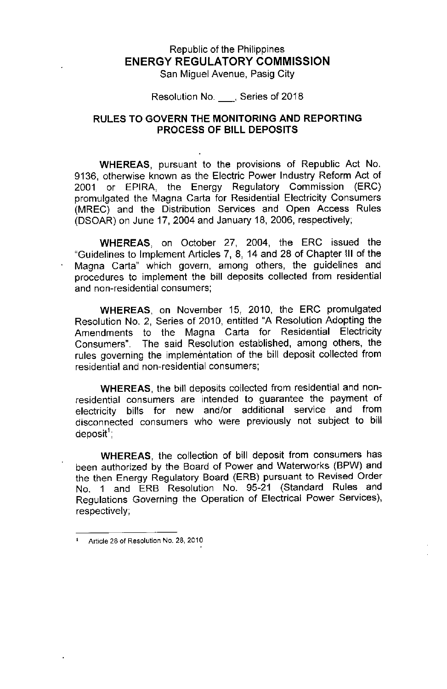# Republic of the Philippines **ENERGY REGULATORY COMMISSION**

San Miguel Avenue, Pasig City

Resolution No. \_, Series of 2018

## RULES TO GOVERN THE MONITORING AND REPORTING PROCESS OF BILL DEPOSITS

WHEREAS, pursuant to the provisions of Republic Act No. 9136, otherwise known as the Electric Power Industry Reform Act of 2001 or EPIRA, the Energy Regulatory Commission (ERC) promulgated the Magna Carta for Residential Electricity Consumers (MREC) and the Distribution Services and Open Access Rules (DSOAR) on June 17, 2004 and January 18, 2006, respectively;

WHEREAS, on October 27, 2004, the ERC issued the "Guidelines to Implement Articles 7, 8, 14 and 28 of Chapter III of the Magna Carta" which govern, among others, the guidelines and procedures to implement the bill deposits collected from residential and non-residential consumers;

WHEREAS, on November 15, 2010, the ERC promulgated Resolution No.2, Series of 2010, entitled "A Resolution Adopting the Amendments to the Magna Carta for Residential Electricity Consumers". The said Resolution established, among others, the rules governing the implementation of the bill deposit collected from residential and non-residential consumers;

WHEREAS, the bill deposits collected from residential and nonresidential consumers are intended to guarantee the payment of electricity bills for new and/or additional service and from disconnected consumers who were previously not subject to bill deposit'

WHEREAS, the collection of bill deposit from consumers has been authorized by the Board of Power and Waterworks (BPW) and the then Energy Regulatory Board (ERB) pursuant to Revised Order No. 1 and ERB Resolution No. 95-21 (Standard Rules and Regulations Governing the Operation of Electrical Power Services), respectively;

<sup>1</sup> Article 28 of Resolution No. 28, 2010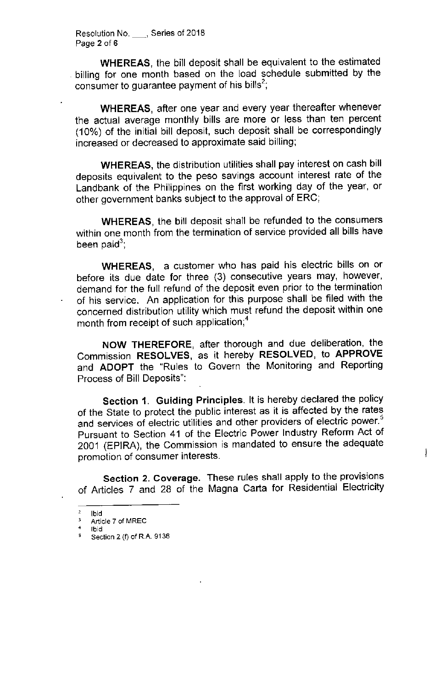Resolution No. \_, Series of 2018 Page 2 of 6

WHEREAS, the bill deposit shall be equivalent to the estimated billing for one month based on the load schedule submitted by the consumer to guarantee payment of his bills<sup>2</sup>;

WHEREAS, after one year and every year thereafter whenever the actual average monthly bills are more or less than ten percent (10%) of the initial bill deposit, such deposit shall be correspondingly increased or decreased to approximate said billing;

WHEREAS, the distribution utilities shall pay interest on cash bill deposits equivalent to the peso savings account interest rate of the Landbank of the Philippines on the first working day of the year, or other government banks subject to the approval of ERC;

WHEREAS, the bill deposit shall be refunded to the consumers within one month from the termination of service provided all bills have been paid<sup>3</sup>;

WHEREAS, a customer who has paid his electric bills on or before its due date for three (3) consecutive years may, however, demand for the full refund of the deposit even prior to the termination of his service. An application for this purpose shall be filed with the concerned distribution utility which must refund the deposit within one month from receipt of such application;<sup>4</sup>

NOW THEREFORE, after thorough and due deliberation, the Commission RESOLVES, as it hereby RESOLVED, to APPROVE and ADOPT the "Rules to Govern the Monitoring and Reporting Process of Bill Deposits":

Section 1. Guiding Principles. It is hereby declared the policy of the State to protect the public interest as it is affected by the rates and services of electric utilities and other providers of electric power. s Pursuant to Section 41 of the Electric Power Industry Reform Act of 2001 (EPIRA), the Commission is mandated to ensure the adequate promotion of consumer interests.

 $\left\{\right.$ 

Section 2. Coverage. These rules shall apply to the provisions of Articles 7 and 28 of the Magna Carta for Residential Electricity

 $rac{2}{3}$  Ibid

Article 7 of MREC

 $\frac{4}{5}$  Ibid <sup>5</sup> Section 2 (f) of R.A. 9136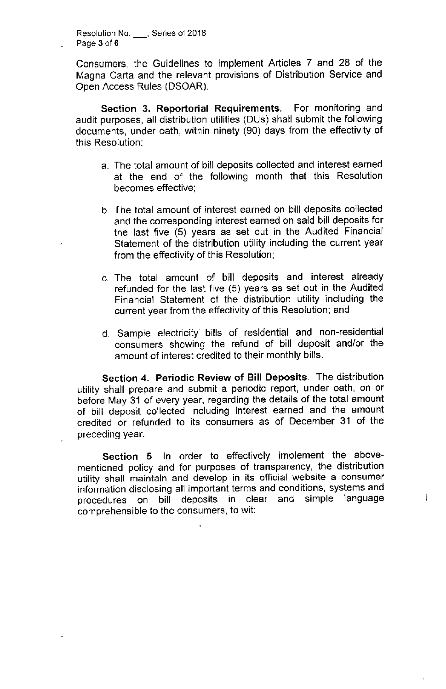**Resolution No.** , Series of 2018 Page 3 of 6

Consumers, the Guidelines to Implement Articles 7 and 28 of the Magna Carta and the relevant provisions of Distribution Service and Open Access Rules (DSOAR).

Section 3. Reportorial Requirements. For monitoring and audit purposes, all distribution utilities (DUs) shall submit the following documents, under oath, within ninety (90) days from the effectivity of this Resolution:

- a. The total amount of bill deposits collected and interest earned at the end of the following month that this Resolution becomes effective;
- b. The total amount of interest earned on bill deposits collected and the corresponding interest earned on said bill deposits for the last five (5) years as set out in the Audited Financial Statement of the distribution utility including the current year from the effectivity of this Resolution;
- c. The total amount of bill deposits and interest already refunded for the last five (5) years as set out in the Audited Financial Statement of the distribution utility including the current year from the effectivity of this Resolution; and
- d. Sample electricity' bills of residential and non-residential consumers showing the refund of bill deposit and/or the amount of interest credited to their monthly bills.

Section 4. Periodic Review of **Bill** Deposits. The distribution utility shall prepare and submit a periodic report, under oath, on or before May 31 of every year, regarding the details of the total amount of bill deposit collected including interest earned and the amount credited or refunded to its consumers as of December 31 of the preceding year.

Section 5. In order to effectively implement the abovementioned policy and for purposes of transparency, the distribution utility shall maintain and develop in its official website a consumer information disclosing all important terms and conditions, systems and procedures on bill deposits in clear and simple language comprehensible to the consumers, to wit:

j,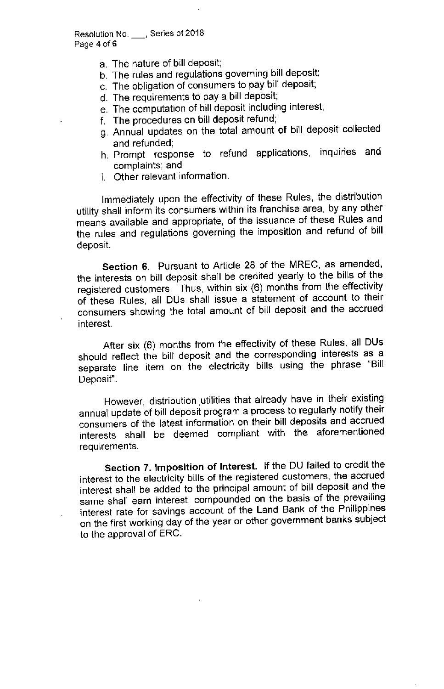Resolution No. \_, Series of 2018 Page 4 of 6

- a. The nature of bill deposit;
- b. The rules and regulations governing bill deposit;
- c. The obligation of consumers to pay bill deposit;
- d. The requirements to pay a bill deposit;
- e. The computation of bill deposit including interest;
- f. The procedures on bill deposit refund;
- g. Annual updates on the total amount of bill deposit collected and refunded;
- h. Prompt response to refund applications, inquiries and complaints; and
- i. Other relevant information.

Immediately upon the effectivity of these Rules, the distribution utility shall inform its consumers within its franchise area, by any other means available and appropriate, of the issuance of these Rules and the rules and regulations governing the imposition and refund of bill deposit

Section 6. Pursuant to Article 28 of the MREC, as amended, the interests on bill deposit shall be credited yearly to the bills of the registered customers. Thus, within six (6) months from the effectivity of these Rules, all DUs shall issue a statement of account to their consumers showing the total amount of bill deposit and the accrued interest

After six (6) months from the effectivity of these Rules, all DUs should reflect the bill deposit and the corresponding interests as a separate line item on the electricity bills using the phrase "Bill Deposit".

However, distribution .utilities that already have in their existing annual update of bill deposit program a process to regularly notify their consumers of the latest information on their bill deposits and accrued interests shall be deemed compliant with the aforementioned requirements.

Section 7. Imposition of Interest. If the DU failed to credit the interest to the electricity bills of the registered customers, the accrued interest shall be added to the principal amount of bill deposit and the same shall earn interest, compounded on the basis of the prevailing interest rate for savings account of the Land Bank of the Philippines on the first working day of the year or other government banks subject to the approval of ERC.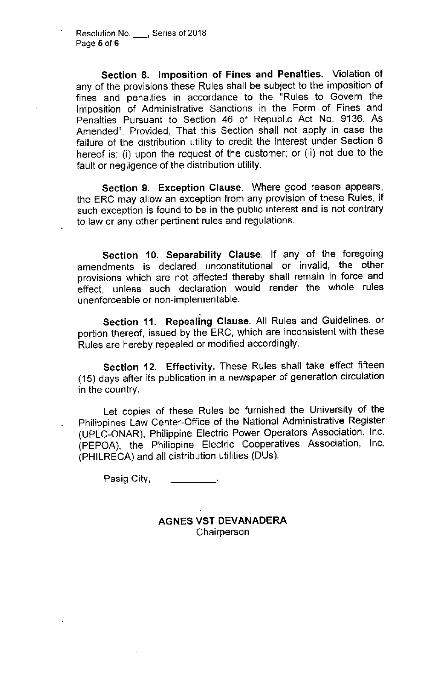Section 8. Imposition of Fines and Penalties. Violation of any of the provisions these Rules shall be subject to the imposition of fines and penalties in accordance to the "Rules to Govern the Imposition of Administrative Sanctions in the Form of Fines and Penalties Pursuant to Section 46 of Republic Act No. 9136, As Amended". Provided, That this Section shall not apply in case the failure of the distribution utility to credit the interest under Section 6 hereof is: (i) upon the request of the customer; or (ii) not due to the fault or negligence of the distribution utility.

Section 9. Exception Clause. Where good reason appears, the ERC may allow an exception from any provision of these Rules, if such exception is found to be in the public interest and is not contrary to law or any other pertinent rules and regulations.

Section 10. Separability Clause. If any of the foregoing amendments is declared unconstitutional or invalid, the other provisions which are not affected thereby shall remain in force and effect, unless such declaration would render the whole rules unenforceable or non-implementable.

Section 11. Repealing Clause. All Rules and Guidelines, or portion thereof, issued by the ERC, which are inconsistent with these Rules are hereby repealed or modified accordingly.

Section 12. Effectivity. These Rules shall take effect fifteen (15) days after its publication in a newspaper of generation circulation in the country.

Let copies of these Rules be furnished the University of the Philippines Law Center-Office of the National Administrative Register (UPLC-ONAR), Philippine Electric Power Operators Association, Inc. (PEPOA), the Philippine Electric Cooperatives Association, Inc. (PHILRECA)and all distribution utilities (DUs).

Pasig City, \_\_\_\_\_\_\_\_\_\_\_\_\_.

AGNES VST DEVANADERA **Chairperson**